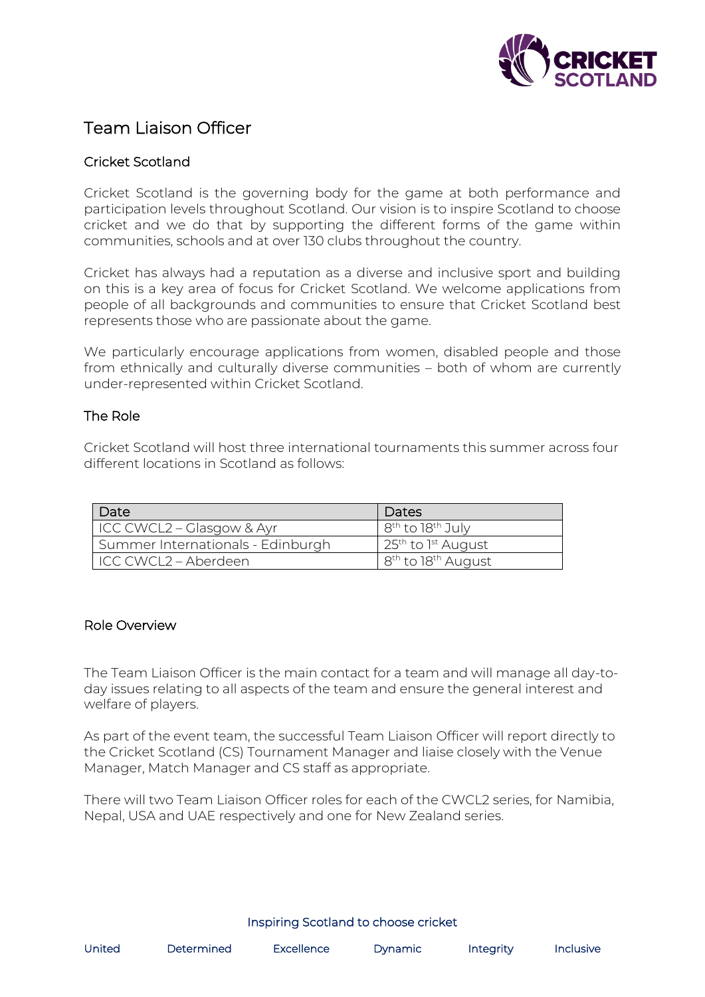

# Team Liaison Officer

# Cricket Scotland

Cricket Scotland is the governing body for the game at both performance and participation levels throughout Scotland. Our vision is to inspire Scotland to choose cricket and we do that by supporting the different forms of the game within communities, schools and at over 130 clubs throughout the country.

Cricket has always had a reputation as a diverse and inclusive sport and building on this is a key area of focus for Cricket Scotland. We welcome applications from people of all backgrounds and communities to ensure that Cricket Scotland best represents those who are passionate about the game.

We particularly encourage applications from women, disabled people and those from ethnically and culturally diverse communities – both of whom are currently under-represented within Cricket Scotland.

#### The Role

Cricket Scotland will host three international tournaments this summer across four different locations in Scotland as follows:

| Date                              | Dates                                      |
|-----------------------------------|--------------------------------------------|
| ICC CWCL2 – Glasgow & Ayr         | 8 <sup>th</sup> to 18 <sup>th</sup> July   |
| Summer Internationals - Edinburgh | 25 <sup>th</sup> to 1 <sup>st</sup> August |
| ICC CWCL2 – Aberdeen              | 8 <sup>th</sup> to 18 <sup>th</sup> August |

#### Role Overview

The Team Liaison Officer is the main contact for a team and will manage all day-today issues relating to all aspects of the team and ensure the general interest and welfare of players.

As part of the event team, the successful Team Liaison Officer will report directly to the Cricket Scotland (CS) Tournament Manager and liaise closely with the Venue Manager, Match Manager and CS staff as appropriate.

There will two Team Liaison Officer roles for each of the CWCL2 series, for Namibia, Nepal, USA and UAE respectively and one for New Zealand series.

#### Inspiring Scotland to choose cricket

| United | Determined | <b>Excellence</b> | <b>Dynamic</b> | Integrity | Inclusive |
|--------|------------|-------------------|----------------|-----------|-----------|
|        |            |                   |                |           |           |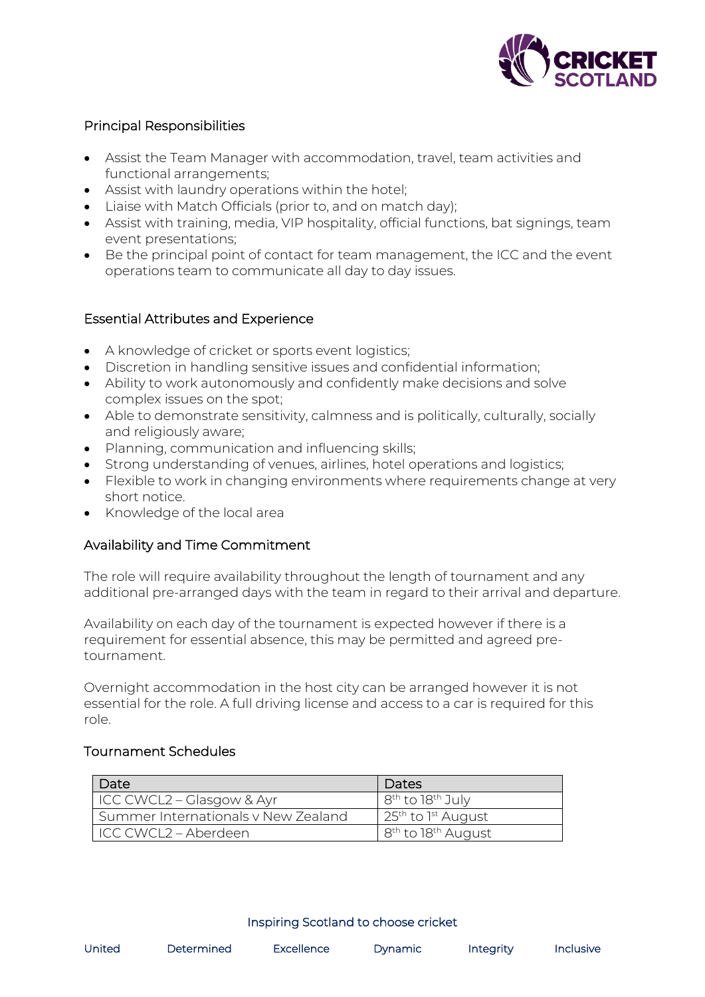

# Principal Responsibilities

- Assist the Team Manager with accommodation, travel, team activities and functional arrangements;
- Assist with laundry operations within the hotel;
- Liaise with Match Officials (prior to, and on match day);
- Assist with training, media, VIP hospitality, official functions, bat signings, team event presentations;
- Be the principal point of contact for team management, the ICC and the event operations team to communicate all day to day issues.

## Essential Attributes and Experience

- A knowledge of cricket or sports event logistics;
- Discretion in handling sensitive issues and confidential information;
- Ability to work autonomously and confidently make decisions and solve complex issues on the spot;
- Able to demonstrate sensitivity, calmness and is politically, culturally, socially and religiously aware;
- Planning, communication and influencing skills;
- Strong understanding of venues, airlines, hotel operations and logistics;
- Flexible to work in changing environments where requirements change at very short notice.
- Knowledge of the local area

## Availability and Time Commitment

The role will require availability throughout the length of tournament and any additional pre-arranged days with the team in regard to their arrival and departure.

Availability on each day of the tournament is expected however if there is a requirement for essential absence, this may be permitted and agreed pretournament.

Overnight accommodation in the host city can be arranged however it is not essential for the role. A full driving license and access to a car is required for this role.

## Tournament Schedules

| Date                                | Dates                                                  |
|-------------------------------------|--------------------------------------------------------|
| ICC CWCL2 - Glasgow & Ayr           | 8 <sup>th</sup> to 18 <sup>th</sup> July               |
| Summer Internationals v New Zealand | $\frac{1}{25}$ <sup>th</sup> to 1 <sup>st</sup> August |
| ICC CWCL2 – Aberdeen                | 8 <sup>th</sup> to 18 <sup>th</sup> August             |

#### Inspiring Scotland to choose cricket